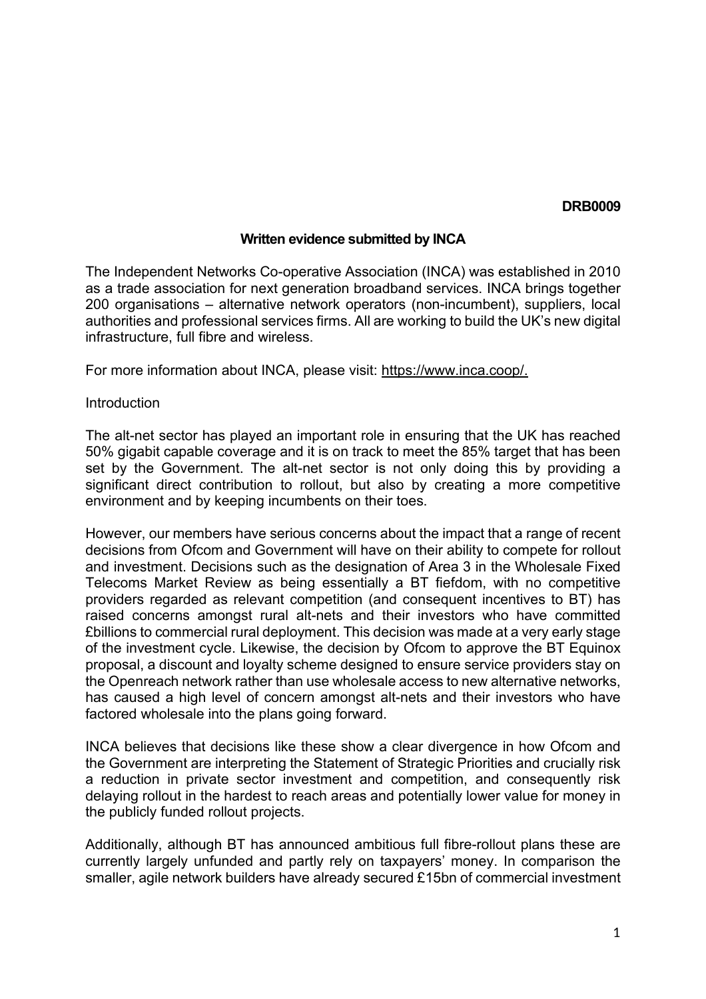#### **DRB0009**

### **Written evidence submitted by INCA**

The Independent Networks Co-operative Association (INCA) was established in 2010 as a trade association for next generation broadband services. INCA brings together 200 organisations – alternative network operators (non-incumbent), suppliers, local authorities and professional services firms. All are working to build the UK's new digital infrastructure, full fibre and wireless.

For more information about INCA, please visit: [https://www.inca.coop/.](https://www.inca.coop/)

### **Introduction**

The alt-net sector has played an important role in ensuring that the UK has reached 50% gigabit capable coverage and it is on track to meet the 85% target that has been set by the Government. The alt-net sector is not only doing this by providing a significant direct contribution to rollout, but also by creating a more competitive environment and by keeping incumbents on their toes.

However, our members have serious concerns about the impact that a range of recent decisions from Ofcom and Government will have on their ability to compete for rollout and investment. Decisions such as the designation of Area 3 in the Wholesale Fixed Telecoms Market Review as being essentially a BT fiefdom, with no competitive providers regarded as relevant competition (and consequent incentives to BT) has raised concerns amongst rural alt-nets and their investors who have committed £billions to commercial rural deployment. This decision was made at a very early stage of the investment cycle. Likewise, the decision by Ofcom to approve the BT Equinox proposal, a discount and loyalty scheme designed to ensure service providers stay on the Openreach network rather than use wholesale access to new alternative networks, has caused a high level of concern amongst alt-nets and their investors who have factored wholesale into the plans going forward.

INCA believes that decisions like these show a clear divergence in how Ofcom and the Government are interpreting the Statement of Strategic Priorities and crucially risk a reduction in private sector investment and competition, and consequently risk delaying rollout in the hardest to reach areas and potentially lower value for money in the publicly funded rollout projects.

Additionally, although BT has announced ambitious full fibre-rollout plans these are currently largely unfunded and partly rely on taxpayers' money. In comparison the smaller, agile network builders have already secured £15bn of commercial investment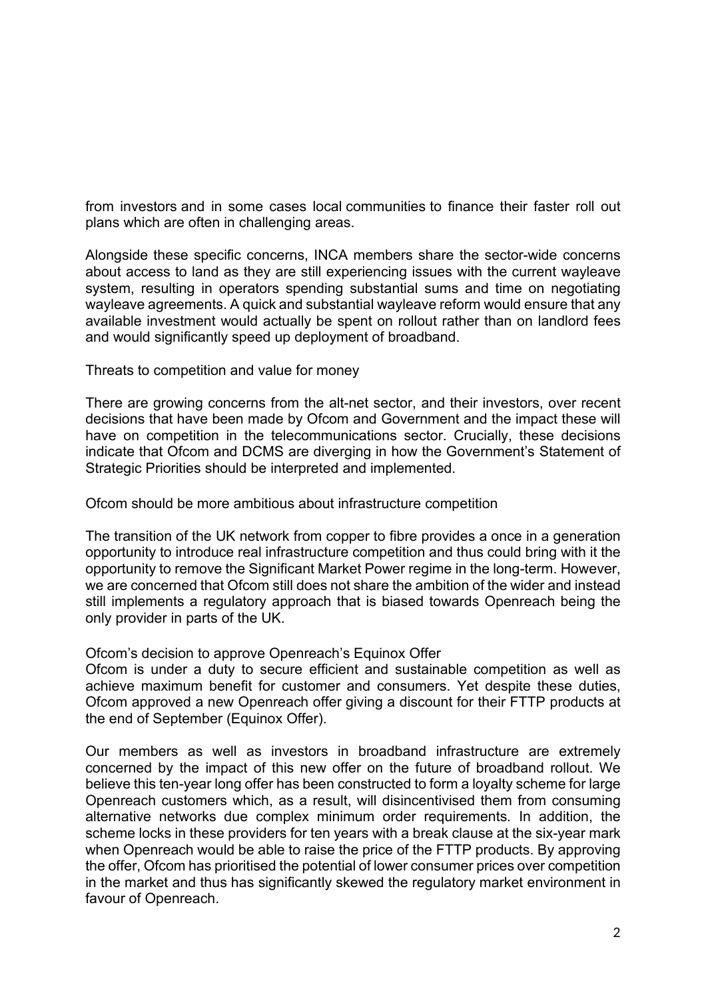from investors and in some cases local communities to finance their faster roll out plans which are often in challenging areas.

Alongside these specific concerns, INCA members share the sector-wide concerns about access to land as they are still experiencing issues with the current wayleave system, resulting in operators spending substantial sums and time on negotiating wayleave agreements. A quick and substantial wayleave reform would ensure that any available investment would actually be spent on rollout rather than on landlord fees and would significantly speed up deployment of broadband.

Threats to competition and value for money

There are growing concerns from the alt-net sector, and their investors, over recent decisions that have been made by Ofcom and Government and the impact these will have on competition in the telecommunications sector. Crucially, these decisions indicate that Ofcom and DCMS are diverging in how the Government's Statement of Strategic Priorities should be interpreted and implemented.

Ofcom should be more ambitious about infrastructure competition

The transition of the UK network from copper to fibre provides a once in a generation opportunity to introduce real infrastructure competition and thus could bring with it the opportunity to remove the Significant Market Power regime in the long-term. However, we are concerned that Ofcom still does not share the ambition of the wider and instead still implements a regulatory approach that is biased towards Openreach being the only provider in parts of the UK.

Ofcom's decision to approve Openreach's Equinox Offer

Ofcom is under a duty to secure efficient and sustainable competition as well as achieve maximum benefit for customer and consumers. Yet despite these duties, Ofcom approved a new Openreach offer giving a discount for their FTTP products at the end of September (Equinox Offer).

Our members as well as investors in broadband infrastructure are extremely concerned by the impact of this new offer on the future of broadband rollout. We believe this ten-year long offer has been constructed to form a loyalty scheme for large Openreach customers which, as a result, will disincentivised them from consuming alternative networks due complex minimum order requirements. In addition, the scheme locks in these providers for ten years with a break clause at the six-year mark when Openreach would be able to raise the price of the FTTP products. By approving the offer, Ofcom has prioritised the potential of lower consumer prices over competition in the market and thus has significantly skewed the regulatory market environment in favour of Openreach.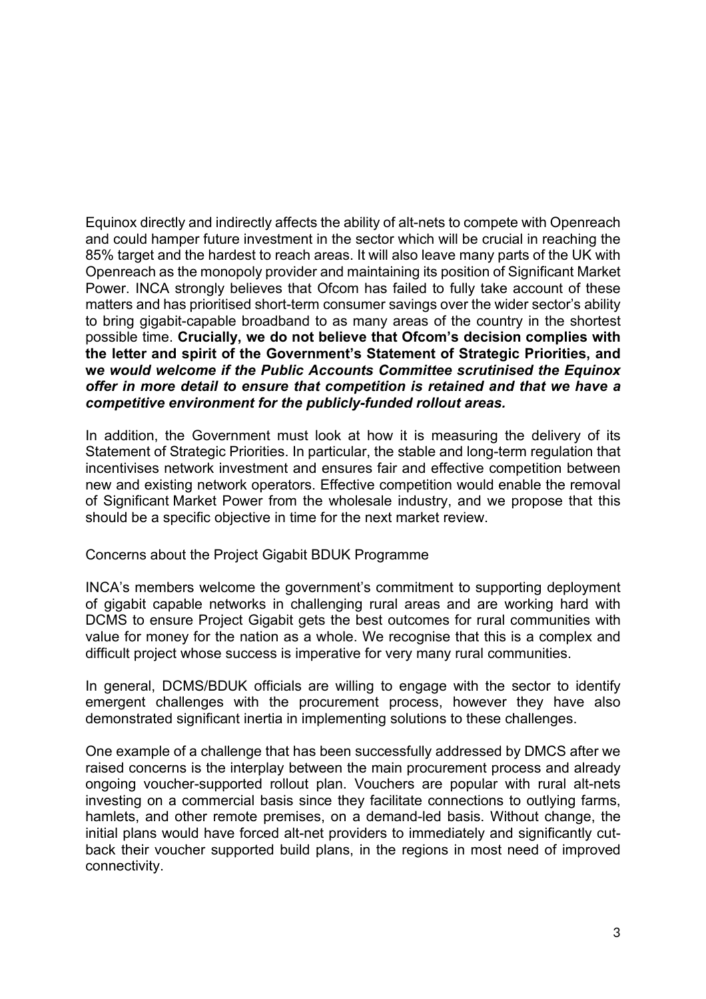Equinox directly and indirectly affects the ability of alt-nets to compete with Openreach and could hamper future investment in the sector which will be crucial in reaching the 85% target and the hardest to reach areas. It will also leave many parts of the UK with Openreach as the monopoly provider and maintaining its position of Significant Market Power. INCA strongly believes that Ofcom has failed to fully take account of these matters and has prioritised short-term consumer savings over the wider sector's ability to bring gigabit-capable broadband to as many areas of the country in the shortest possible time. **Crucially, we do not believe that Ofcom's decision complies with the letter and spirit of the Government's Statement of Strategic Priorities, and w***e would welcome if the Public Accounts Committee scrutinised the Equinox offer in more detail to ensure that competition is retained and that we have a competitive environment for the publicly-funded rollout areas.*

In addition, the Government must look at how it is measuring the delivery of its Statement of Strategic Priorities. In particular, the stable and long-term regulation that incentivises network investment and ensures fair and effective competition between new and existing network operators. Effective competition would enable the removal of Significant Market Power from the wholesale industry, and we propose that this should be a specific objective in time for the next market review.

# Concerns about the Project Gigabit BDUK Programme

INCA's members welcome the government's commitment to supporting deployment of gigabit capable networks in challenging rural areas and are working hard with DCMS to ensure Project Gigabit gets the best outcomes for rural communities with value for money for the nation as a whole. We recognise that this is a complex and difficult project whose success is imperative for very many rural communities.

In general, DCMS/BDUK officials are willing to engage with the sector to identify emergent challenges with the procurement process, however they have also demonstrated significant inertia in implementing solutions to these challenges.

One example of a challenge that has been successfully addressed by DMCS after we raised concerns is the interplay between the main procurement process and already ongoing voucher-supported rollout plan. Vouchers are popular with rural alt-nets investing on a commercial basis since they facilitate connections to outlying farms, hamlets, and other remote premises, on a demand-led basis. Without change, the initial plans would have forced alt-net providers to immediately and significantly cutback their voucher supported build plans, in the regions in most need of improved connectivity.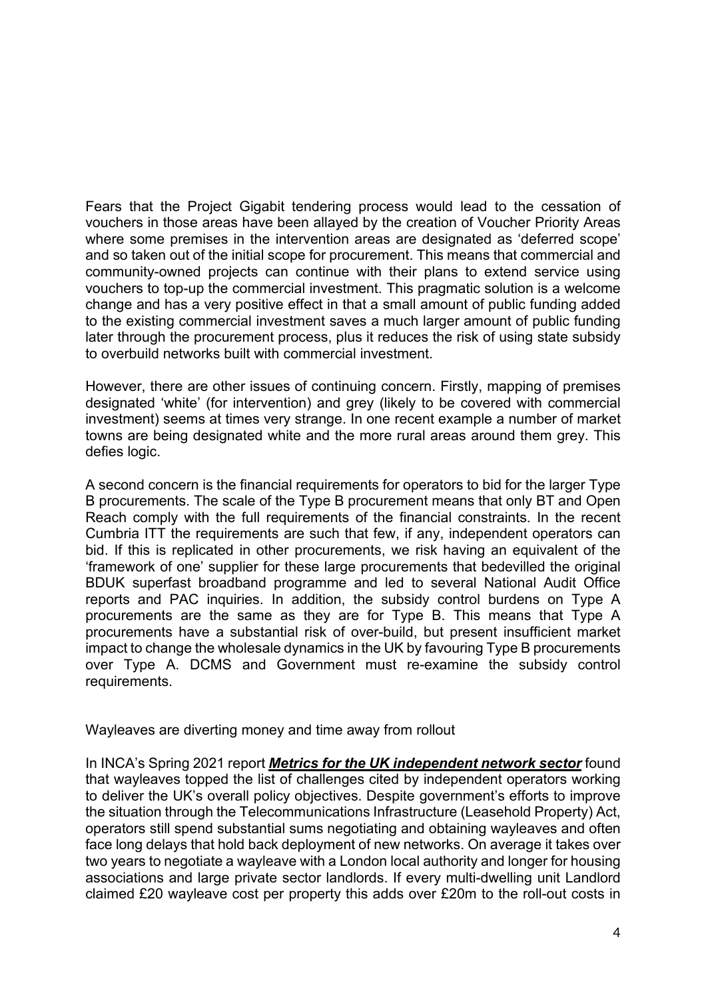Fears that the Project Gigabit tendering process would lead to the cessation of vouchers in those areas have been allayed by the creation of Voucher Priority Areas where some premises in the intervention areas are designated as 'deferred scope' and so taken out of the initial scope for procurement. This means that commercial and community-owned projects can continue with their plans to extend service using vouchers to top-up the commercial investment. This pragmatic solution is a welcome change and has a very positive effect in that a small amount of public funding added to the existing commercial investment saves a much larger amount of public funding later through the procurement process, plus it reduces the risk of using state subsidy to overbuild networks built with commercial investment.

However, there are other issues of continuing concern. Firstly, mapping of premises designated 'white' (for intervention) and grey (likely to be covered with commercial investment) seems at times very strange. In one recent example a number of market towns are being designated white and the more rural areas around them grey. This defies logic.

A second concern is the financial requirements for operators to bid for the larger Type B procurements. The scale of the Type B procurement means that only BT and Open Reach comply with the full requirements of the financial constraints. In the recent Cumbria ITT the requirements are such that few, if any, independent operators can bid. If this is replicated in other procurements, we risk having an equivalent of the 'framework of one' supplier for these large procurements that bedevilled the original BDUK superfast broadband programme and led to several National Audit Office reports and PAC inquiries. In addition, the subsidy control burdens on Type A procurements are the same as they are for Type B. This means that Type A procurements have a substantial risk of over-build, but present insufficient market impact to change the wholesale dynamics in the UK by favouring Type B procurements over Type A. DCMS and Government must re-examine the subsidy control requirements.

Wayleaves are diverting money and time away from rollout

In INCA's Spring 2021 report *[Metrics for the UK independent network sector](https://www.inca.coop/news/point-topic-2021)* found that wayleaves topped the list of challenges cited by independent operators working to deliver the UK's overall policy objectives. Despite government's efforts to improve the situation through the Telecommunications Infrastructure (Leasehold Property) Act, operators still spend substantial sums negotiating and obtaining wayleaves and often face long delays that hold back deployment of new networks. On average it takes over two years to negotiate a wayleave with a London local authority and longer for housing associations and large private sector landlords. If every multi-dwelling unit Landlord claimed £20 wayleave cost per property this adds over £20m to the roll-out costs in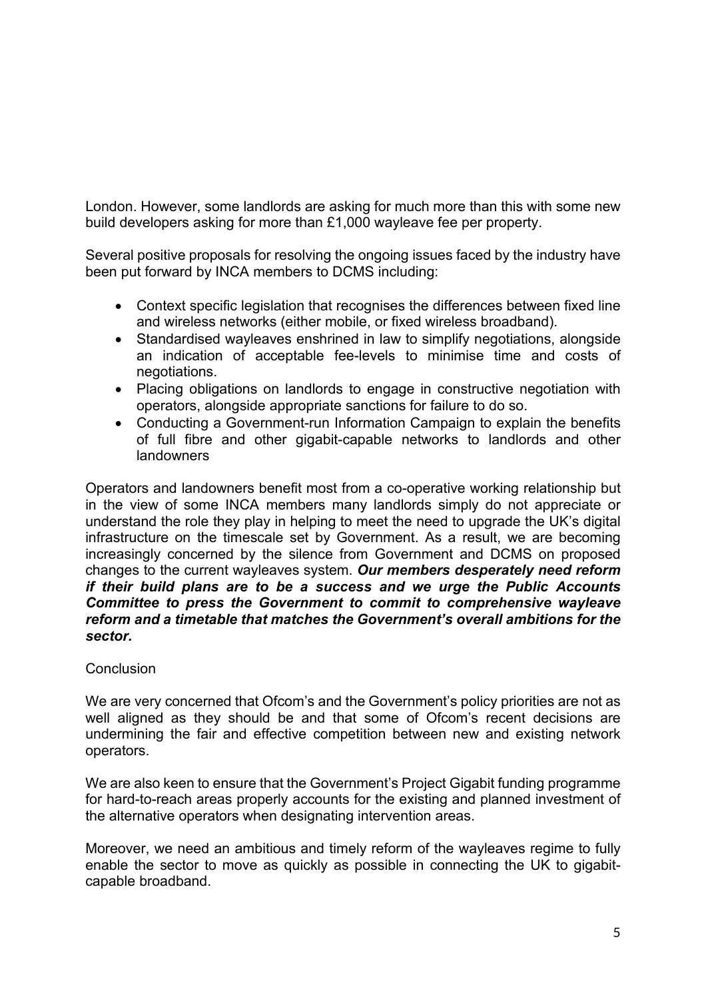London. However, some landlords are asking for much more than this with some new build developers asking for more than £1,000 wayleave fee per property.

Several positive proposals for resolving the ongoing issues faced by the industry have been put forward by INCA members to DCMS including:

- Context specific legislation that recognises the differences between fixed line and wireless networks (either mobile, or fixed wireless broadband).
- Standardised wayleaves enshrined in law to simplify negotiations, alongside an indication of acceptable fee-levels to minimise time and costs of negotiations.
- Placing obligations on landlords to engage in constructive negotiation with operators, alongside appropriate sanctions for failure to do so.
- Conducting a Government-run Information Campaign to explain the benefits of full fibre and other gigabit-capable networks to landlords and other **landowners**

Operators and landowners benefit most from a co-operative working relationship but in the view of some INCA members many landlords simply do not appreciate or understand the role they play in helping to meet the need to upgrade the UK's digital infrastructure on the timescale set by Government. As a result, we are becoming increasingly concerned by the silence from Government and DCMS on proposed changes to the current wayleaves system. *Our members desperately need reform if their build plans are to be a success and we urge the Public Accounts Committee to press the Government to commit to comprehensive wayleave reform and a timetable that matches the Government's overall ambitions for the sector.* 

# **Conclusion**

We are very concerned that Ofcom's and the Government's policy priorities are not as well aligned as they should be and that some of Ofcom's recent decisions are undermining the fair and effective competition between new and existing network operators.

We are also keen to ensure that the Government's Project Gigabit funding programme for hard-to-reach areas properly accounts for the existing and planned investment of the alternative operators when designating intervention areas.

Moreover, we need an ambitious and timely reform of the wayleaves regime to fully enable the sector to move as quickly as possible in connecting the UK to gigabitcapable broadband.